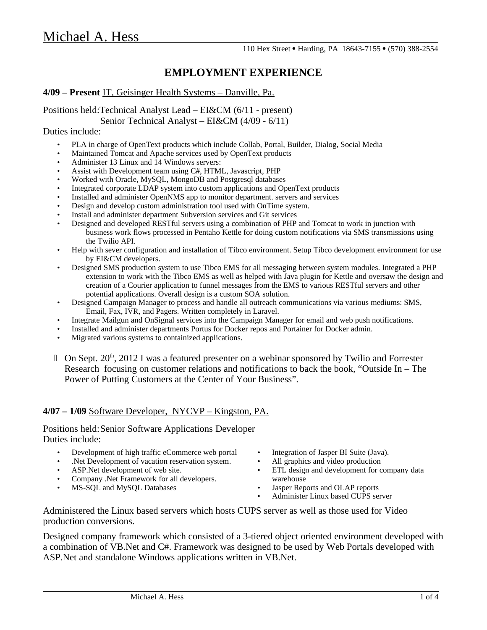## **EMPLOYMENT EXPERIENCE**

#### **4/09 – Present** IT, Geisinger Health Systems – Danville, Pa.

Positions held:Technical Analyst Lead – EI&CM (6/11 - present)

Senior Technical Analyst – EI&CM (4/09 - 6/11)

#### Duties include:

- PLA in charge of OpenText products which include Collab, Portal, Builder, Dialog, Social Media
- Maintained Tomcat and Apache services used by OpenText products
- Administer 13 Linux and 14 Windows servers:
- Assist with Development team using C#, HTML, Javascript, PHP
- Worked with Oracle, MySQL, MongoDB and Postgresql databases
- Integrated corporate LDAP system into custom applications and OpenText products
- Installed and administer OpenNMS app to monitor department. servers and services
- Design and develop custom administration tool used with OnTime system.
- Install and administer department Subversion services and Git services
- Designed and developed RESTful servers using a combination of PHP and Tomcat to work in junction with business work flows processed in Pentaho Kettle for doing custom notifications via SMS transmissions using the Twilio API.
- Help with sever configuration and installation of Tibco environment. Setup Tibco development environment for use by EI&CM developers.
- Designed SMS production system to use Tibco EMS for all messaging between system modules. Integrated a PHP extension to work with the Tibco EMS as well as helped with Java plugin for Kettle and oversaw the design and creation of a Courier application to funnel messages from the EMS to various RESTful servers and other potential applications. Overall design is a custom SOA solution.
- Designed Campaign Manager to process and handle all outreach communications via various mediums: SMS, Email, Fax, IVR, and Pagers. Written completely in Laravel.
- Integrate Mailgun and OnSignal services into the Campaign Manager for email and web push notifications.
- Installed and administer departments Portus for Docker repos and Portainer for Docker admin.
- Migrated various systems to containized applications.
- $\Box$  On Sept. 20<sup>th</sup>, 2012 I was a featured presenter on a webinar sponsored by Twilio and Forrester Research focusing on customer relations and notifications to back the book, "Outside In – The Power of Putting Customers at the Center of Your Business".

#### **4/07 – 1/09** Software Developer, NYCVP – Kingston, PA.

Positions held:Senior Software Applications Developer Duties include:

- Development of high traffic eCommerce web portal
- .Net Development of vacation reservation system.
- ASP.Net development of web site.
- Company .Net Framework for all developers.
- MS-SQL and MySQL Databases

 $\overline{a}$ 

- Integration of Jasper BI Suite (Java).
- All graphics and video production
- ETL design and development for company data warehouse
- Jasper Reports and OLAP reports
- Administer Linux based CUPS server

Administered the Linux based servers which hosts CUPS server as well as those used for Video production conversions.

Designed company framework which consisted of a 3-tiered object oriented environment developed with a combination of VB.Net and C#. Framework was designed to be used by Web Portals developed with ASP.Net and standalone Windows applications written in VB.Net.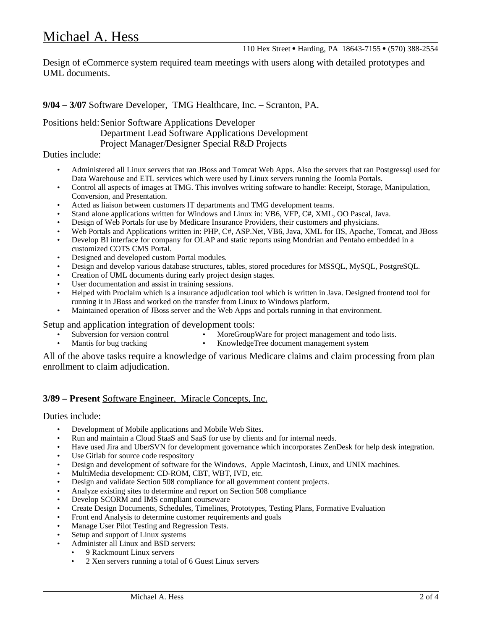110 Hex Street • Harding, PA 18643-7155 • (570) 388-2554

Design of eCommerce system required team meetings with users along with detailed prototypes and UML documents.

#### **9/04 – 3/07** Software Developer, TMG Healthcare, Inc. **–** Scranton, PA.

Positions held:Senior Software Applications Developer

#### Department Lead Software Applications Development Project Manager/Designer Special R&D Projects

#### Duties include:

- Administered all Linux servers that ran JBoss and Tomcat Web Apps. Also the servers that ran Postgressql used for Data Warehouse and ETL services which were used by Linux servers running the Joomla Portals.
- Control all aspects of images at TMG. This involves writing software to handle: Receipt, Storage, Manipulation, Conversion, and Presentation.
- Acted as liaison between customers IT departments and TMG development teams.
- Stand alone applications written for Windows and Linux in: VB6, VFP, C#, XML, OO Pascal, Java.
- Design of Web Portals for use by Medicare Insurance Providers, their customers and physicians.
- Web Portals and Applications written in: PHP, C#, ASP.Net, VB6, Java, XML for IIS, Apache, Tomcat, and JBoss
- Develop BI interface for company for OLAP and static reports using Mondrian and Pentaho embedded in a customized COTS CMS Portal.
- Designed and developed custom Portal modules.
- Design and develop various database structures, tables, stored procedures for MSSQL, MySQL, PostgreSQL.
- Creation of UML documents during early project design stages.
- User documentation and assist in training sessions.
- Helped with Proclaim which is a insurance adjudication tool which is written in Java. Designed frontend tool for running it in JBoss and worked on the transfer from Linux to Windows platform.
- Maintained operation of JBoss server and the Web Apps and portals running in that environment.

Setup and application integration of development tools:

- Subversion for version control • MoreGroupWare for project management and todo lists.
- Mantis for bug tracking • KnowledgeTree document management system

All of the above tasks require a knowledge of various Medicare claims and claim processing from plan enrollment to claim adjudication.

#### **3/89 – Present** Software Engineer, Miracle Concepts, Inc.

#### Duties include:

 $\overline{a}$ 

- Development of Mobile applications and Mobile Web Sites.
- Run and maintain a Cloud StaaS and SaaS for use by clients and for internal needs.
- Have used Jira and UberSVN for development governance which incorporates ZenDesk for help desk integration.
- Use Gitlab for source code respository
- Design and development of software for the Windows, Apple Macintosh, Linux, and UNIX machines.
- MultiMedia development: CD-ROM, CBT, WBT, IVD, etc.
- Design and validate Section 508 compliance for all government content projects.
- Analyze existing sites to determine and report on Section 508 compliance
- Develop SCORM and IMS compliant courseware
- Create Design Documents, Schedules, Timelines, Prototypes, Testing Plans, Formative Evaluation
- Front end Analysis to determine customer requirements and goals
- Manage User Pilot Testing and Regression Tests.
- Setup and support of Linux systems
- Administer all Linux and BSD servers:
	- 9 Rackmount Linux servers
	- 2 Xen servers running a total of 6 Guest Linux servers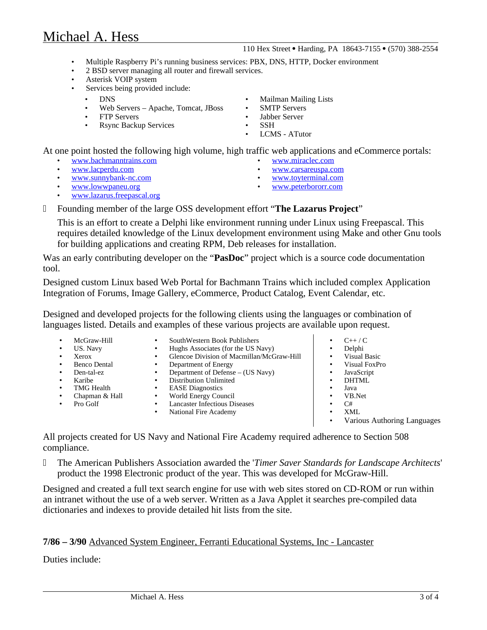## Michael A. Hess

#### 110 Hex Street • Harding, PA 18643-7155 • (570) 388-2554

- Multiple Raspberry Pi's running business services: PBX, DNS, HTTP, Docker environment
- 2 BSD server managing all router and firewall services.
- Asterisk VOIP system
- Services being provided include:
- DNS
	- Web Servers Apache, Tomcat, JBoss
	- **FTP Servers**
	- Rsync Backup Services
- Mailman Mailing Lists
- **SMTP Servers**
- Jabber Server
- SSH
- LCMS ATutor

At one point hosted the following high volume, high traffic web applications and eCommerce portals:

- • [www.bachmanntrains.com](http://www.bachmanntrains.com/)
- • [www.lacperdu.com](http://www.lacperdu.com/)
- [www.sunnybank-nc.com](http://www.sunnybank-nc.com/)
- • [www.lowwpaneu.org](http://www.lowwpaneu.org/) • [www.lazarus.freepascal.org](http://www.lazarus.freepascal.org/)
- • [www.miraclec.com](http://www.miraclec.com/)
- • [www.carsareuspa.com](http://www.carsareuspa.com/)
- • [www.toyterminal.com](http://www.toyterminal.com/)
- • [www.peterbororr.com](http://www.peterbororr.com/)
- ú Founding member of the large OSS development effort "**The Lazarus Project**"

This is an effort to create a Delphi like environment running under Linux using Freepascal. This requires detailed knowledge of the Linux development environment using Make and other Gnu tools for building applications and creating RPM, Deb releases for installation.

Was an early contributing developer on the "**PasDoc**" project which is a source code documentation tool.

Designed custom Linux based Web Portal for Bachmann Trains which included complex Application Integration of Forums, Image Gallery, eCommerce, Product Catalog, Event Calendar, etc.

Designed and developed projects for the following clients using the languages or combination of languages listed. Details and examples of these various projects are available upon request.

|   | McGraw-Hill         | ٠ | SouthWestern Book Publishers              |   | $C++/C$                     |
|---|---------------------|---|-------------------------------------------|---|-----------------------------|
| ٠ | US. Navy            |   | Hughs Associates (for the US Navy)        |   | Delphi                      |
|   | Xerox               |   | Glencoe Division of Macmillan/McGraw-Hill | ٠ | <b>Visual Basic</b>         |
|   | <b>Benco Dental</b> | ٠ | Department of Energy                      | ٠ | Visual FoxPro               |
|   | Den-tal-ez          | ٠ | Department of Defense – (US Navy)         | ٠ | JavaScript                  |
|   | Karibe              | ٠ | Distribution Unlimited                    | ٠ | <b>DHTML</b>                |
|   | <b>TMG</b> Health   | ٠ | <b>EASE</b> Diagnostics                   | ٠ | Java                        |
| ٠ | Chapman & Hall      | ٠ | World Energy Council                      | ٠ | <b>VB.Net</b>               |
|   | Pro Golf            | ٠ | <b>Lancaster Infectious Diseases</b>      | ٠ | C#                          |
|   |                     | ٠ | National Fire Academy                     | ٠ | <b>XML</b>                  |
|   |                     |   |                                           | ٠ | Various Authoring Languages |
|   |                     |   |                                           |   |                             |

All projects created for US Navy and National Fire Academy required adherence to Section 508 compliance.

ú The American Publishers Association awarded the '*Timer Saver Standards for Landscape Architects*' product the 1998 Electronic product of the year. This was developed for McGraw-Hill.

Designed and created a full text search engine for use with web sites stored on CD-ROM or run within an intranet without the use of a web server. Written as a Java Applet it searches pre-compiled data dictionaries and indexes to provide detailed hit lists from the site.

#### **7/86 – 3/90** Advanced System Engineer, Ferranti Educational Systems, Inc - Lancaster

Duties include:

 $\overline{a}$